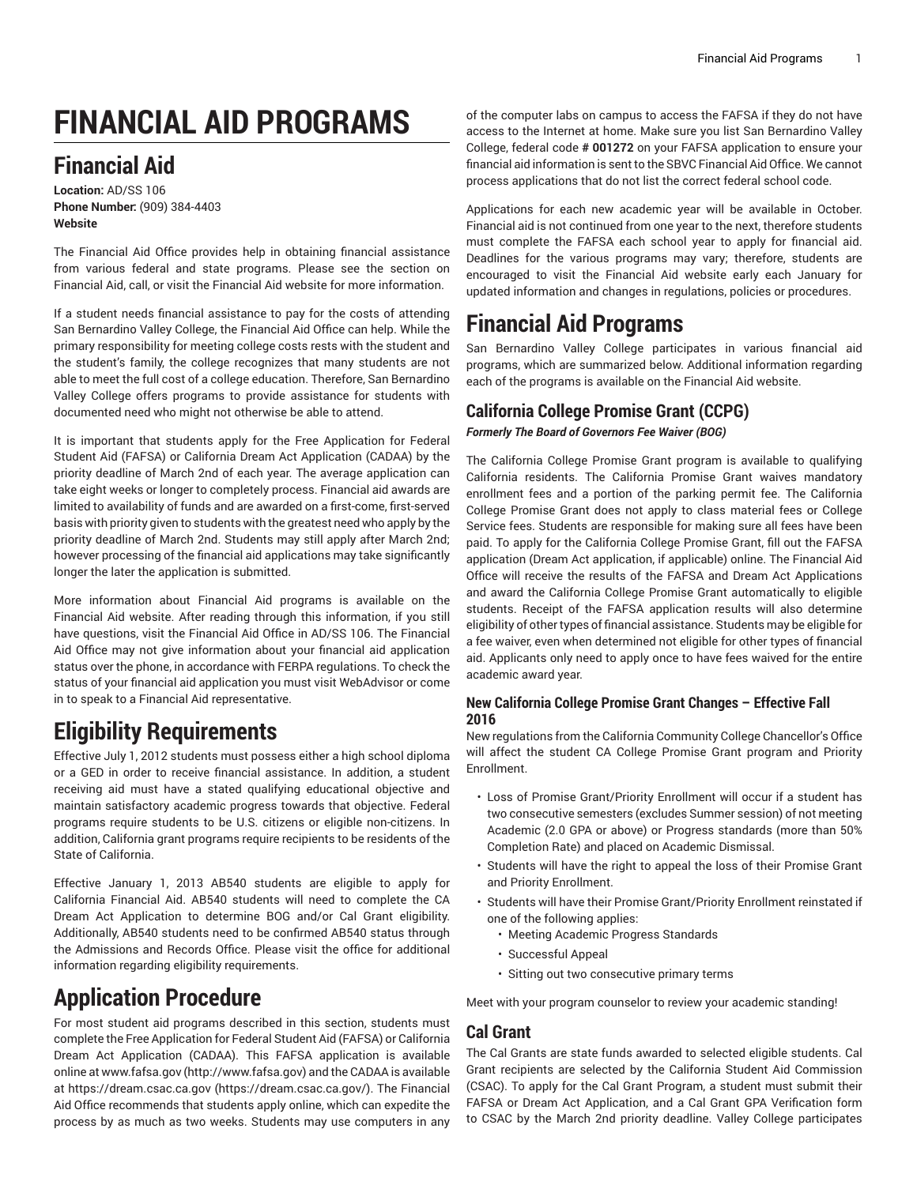# **FINANCIAL AID PROGRAMS**

### **Financial Aid**

**Location:** AD/SS 106 **Phone Number:** (909) 384-4403 **Website**

The Financial Aid Office provides help in obtaining financial assistance from various federal and state programs. Please see the section on Financial Aid, call, or visit the Financial Aid website for more information.

If a student needs financial assistance to pay for the costs of attending San Bernardino Valley College, the Financial Aid Office can help. While the primary responsibility for meeting college costs rests with the student and the student's family, the college recognizes that many students are not able to meet the full cost of a college education. Therefore, San Bernardino Valley College offers programs to provide assistance for students with documented need who might not otherwise be able to attend.

It is important that students apply for the Free Application for Federal Student Aid (FAFSA) or California Dream Act Application (CADAA) by the priority deadline of March 2nd of each year. The average application can take eight weeks or longer to completely process. Financial aid awards are limited to availability of funds and are awarded on a first-come, first-served basis with priority given to students with the greatest need who apply by the priority deadline of March 2nd. Students may still apply after March 2nd; however processing of the financial aid applications may take significantly longer the later the application is submitted.

More information about Financial Aid programs is available on the Financial Aid website. After reading through this information, if you still have questions, visit the Financial Aid Office in AD/SS 106. The Financial Aid Office may not give information about your financial aid application status over the phone, in accordance with FERPA regulations. To check the status of your financial aid application you must visit WebAdvisor or come in to speak to a Financial Aid representative.

## **Eligibility Requirements**

Effective July 1, 2012 students must possess either a high school diploma or a GED in order to receive financial assistance. In addition, a student receiving aid must have a stated qualifying educational objective and maintain satisfactory academic progress towards that objective. Federal programs require students to be U.S. citizens or eligible non-citizens. In addition, California grant programs require recipients to be residents of the State of California.

Effective January 1, 2013 AB540 students are eligible to apply for California Financial Aid. AB540 students will need to complete the CA Dream Act Application to determine BOG and/or Cal Grant eligibility. Additionally, AB540 students need to be confirmed AB540 status through the Admissions and Records Office. Please visit the office for additional information regarding eligibility requirements.

# **Application Procedure**

For most student aid programs described in this section, students must complete the Free Application for Federal Student Aid (FAFSA) or California Dream Act Application (CADAA). This FAFSA application is available online at [www.fafsa.gov](http://www.fafsa.gov) [\(http://www.fafsa.gov](http://www.fafsa.gov)) and the CADAA is available at [https://dream.csac.ca.gov \(https://dream.csac.ca.gov/\)](https://dream.csac.ca.gov/). The Financial Aid Office recommends that students apply online, which can expedite the process by as much as two weeks. Students may use computers in any

of the computer labs on campus to access the FAFSA if they do not have access to the Internet at home. Make sure you list San Bernardino Valley College, federal code **# 001272** on your FAFSA application to ensure your financial aid information is sent to the SBVC Financial Aid Office. We cannot process applications that do not list the correct federal school code.

Applications for each new academic year will be available in October. Financial aid is not continued from one year to the next, therefore students must complete the FAFSA each school year to apply for financial aid. Deadlines for the various programs may vary; therefore, students are encouraged to visit the Financial Aid website early each January for updated information and changes in regulations, policies or procedures.

## **Financial Aid Programs**

San Bernardino Valley College participates in various financial aid programs, which are summarized below. Additional information regarding each of the programs is available on the Financial Aid website.

#### **California College Promise Grant (CCPG)**

*Formerly The Board of Governors Fee Waiver (BOG)*

The California College Promise Grant program is available to qualifying California residents. The California Promise Grant waives mandatory enrollment fees and a portion of the parking permit fee. The California College Promise Grant does not apply to class material fees or College Service fees. Students are responsible for making sure all fees have been paid. To apply for the California College Promise Grant, fill out the FAFSA application (Dream Act application, if applicable) online. The Financial Aid Office will receive the results of the FAFSA and Dream Act Applications and award the California College Promise Grant automatically to eligible students. Receipt of the FAFSA application results will also determine eligibility of other types of financial assistance. Students may be eligible for a fee waiver, even when determined not eligible for other types of financial aid. Applicants only need to apply once to have fees waived for the entire academic award year.

#### **New California College Promise Grant Changes – Effective Fall 2016**

New regulations from the California Community College Chancellor's Office will affect the student CA College Promise Grant program and Priority Enrollment.

- Loss of Promise Grant/Priority Enrollment will occur if a student has two consecutive semesters (excludes Summer session) of not meeting Academic (2.0 GPA or above) or Progress standards (more than 50% Completion Rate) and placed on Academic Dismissal.
- Students will have the right to appeal the loss of their Promise Grant and Priority Enrollment.
- Students will have their Promise Grant/Priority Enrollment reinstated if one of the following applies:
	- Meeting Academic Progress Standards
	- Successful Appeal
	- Sitting out two consecutive primary terms

Meet with your program counselor to review your academic standing!

#### **Cal Grant**

The Cal Grants are state funds awarded to selected eligible students. Cal Grant recipients are selected by the California Student Aid Commission (CSAC). To apply for the Cal Grant Program, a student must submit their FAFSA or Dream Act Application, and a Cal Grant GPA Verification form to CSAC by the March 2nd priority deadline. Valley College participates